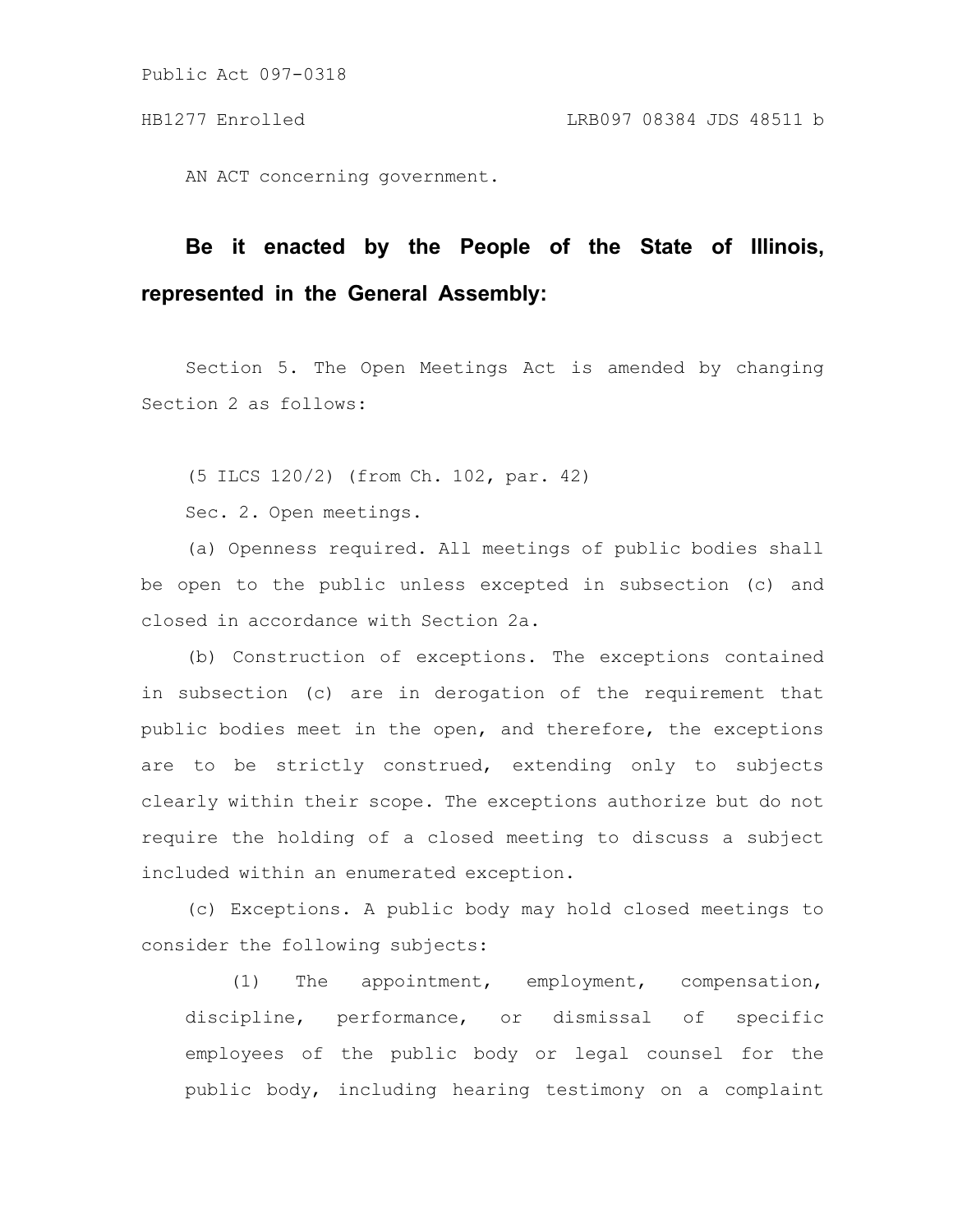Public Act 097-0318

AN ACT concerning government.

# **Be it enacted by the People of the State of Illinois, represented in the General Assembly:**

Section 5. The Open Meetings Act is amended by changing Section 2 as follows:

(5 ILCS 120/2) (from Ch. 102, par. 42)

Sec. 2. Open meetings.

(a) Openness required. All meetings of public bodies shall be open to the public unless excepted in subsection (c) and closed in accordance with Section 2a.

(b) Construction of exceptions. The exceptions contained in subsection (c) are in derogation of the requirement that public bodies meet in the open, and therefore, the exceptions are to be strictly construed, extending only to subjects clearly within their scope. The exceptions authorize but do not require the holding of a closed meeting to discuss a subject included within an enumerated exception.

(c) Exceptions. A public body may hold closed meetings to consider the following subjects:

(1) The appointment, employment, compensation, discipline, performance, or dismissal of specific employees of the public body or legal counsel for the public body, including hearing testimony on a complaint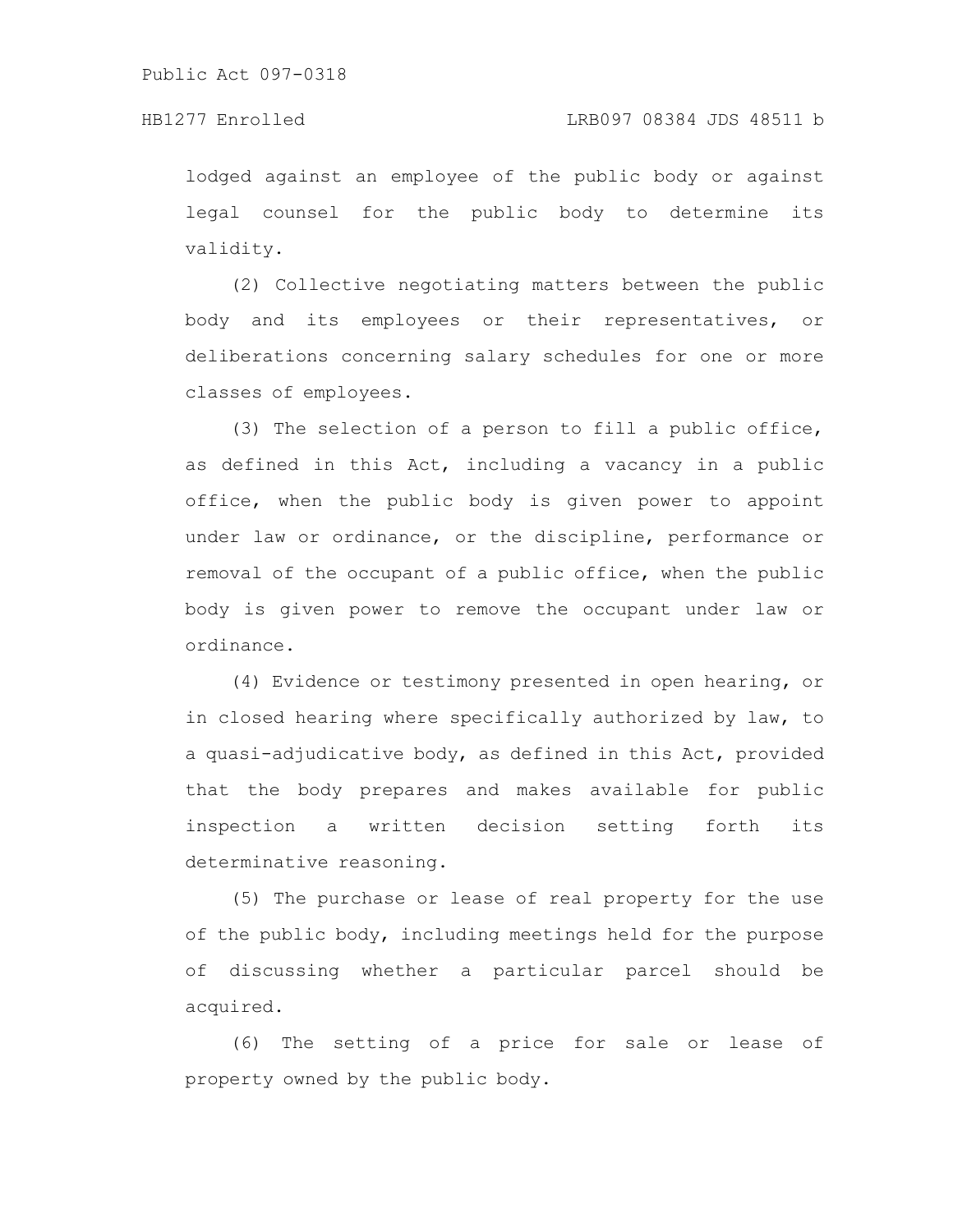lodged against an employee of the public body or against legal counsel for the public body to determine its validity.

(2) Collective negotiating matters between the public body and its employees or their representatives, or deliberations concerning salary schedules for one or more classes of employees.

(3) The selection of a person to fill a public office, as defined in this Act, including a vacancy in a public office, when the public body is given power to appoint under law or ordinance, or the discipline, performance or removal of the occupant of a public office, when the public body is given power to remove the occupant under law or ordinance.

(4) Evidence or testimony presented in open hearing, or in closed hearing where specifically authorized by law, to a quasi-adjudicative body, as defined in this Act, provided that the body prepares and makes available for public inspection a written decision setting forth its determinative reasoning.

(5) The purchase or lease of real property for the use of the public body, including meetings held for the purpose of discussing whether a particular parcel should be acquired.

(6) The setting of a price for sale or lease of property owned by the public body.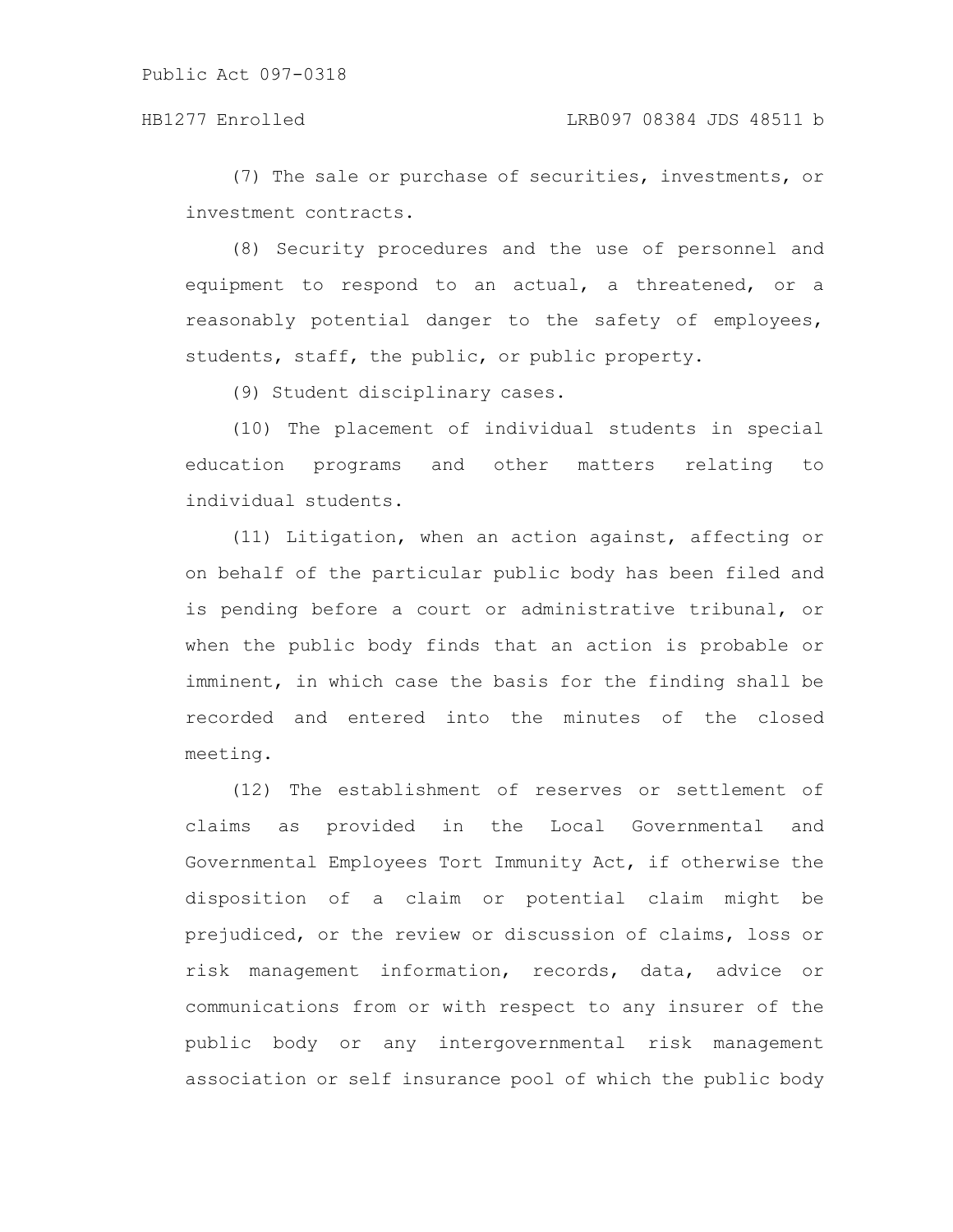(7) The sale or purchase of securities, investments, or investment contracts.

(8) Security procedures and the use of personnel and equipment to respond to an actual, a threatened, or a reasonably potential danger to the safety of employees, students, staff, the public, or public property.

(9) Student disciplinary cases.

(10) The placement of individual students in special education programs and other matters relating to individual students.

(11) Litigation, when an action against, affecting or on behalf of the particular public body has been filed and is pending before a court or administrative tribunal, or when the public body finds that an action is probable or imminent, in which case the basis for the finding shall be recorded and entered into the minutes of the closed meeting.

(12) The establishment of reserves or settlement of claims as provided in the Local Governmental and Governmental Employees Tort Immunity Act, if otherwise the disposition of a claim or potential claim might be prejudiced, or the review or discussion of claims, loss or risk management information, records, data, advice or communications from or with respect to any insurer of the public body or any intergovernmental risk management association or self insurance pool of which the public body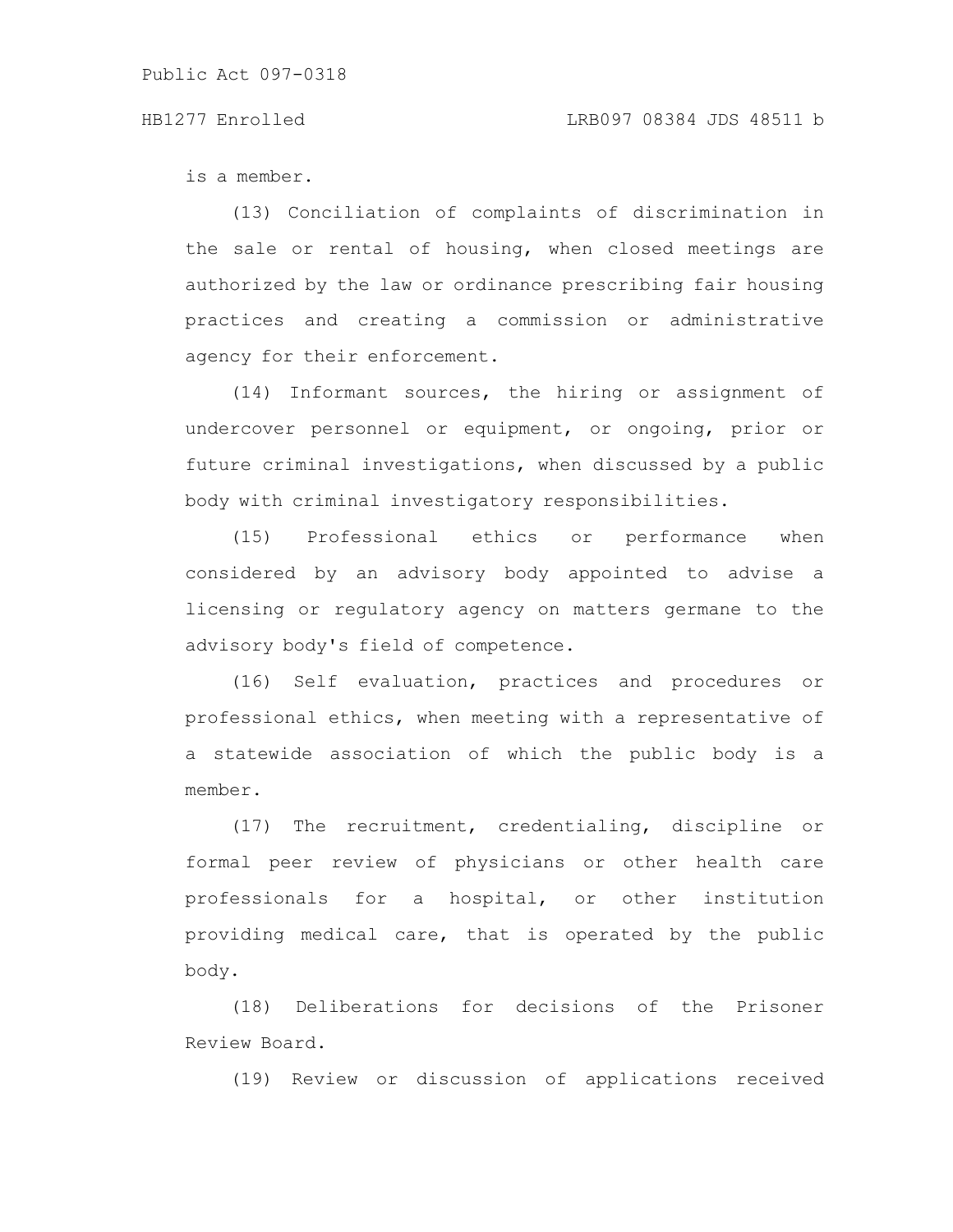### HB1277 Enrolled LRB097 08384 JDS 48511 b

is a member.

(13) Conciliation of complaints of discrimination in the sale or rental of housing, when closed meetings are authorized by the law or ordinance prescribing fair housing practices and creating a commission or administrative agency for their enforcement.

(14) Informant sources, the hiring or assignment of undercover personnel or equipment, or ongoing, prior or future criminal investigations, when discussed by a public body with criminal investigatory responsibilities.

(15) Professional ethics or performance when considered by an advisory body appointed to advise a licensing or regulatory agency on matters germane to the advisory body's field of competence.

(16) Self evaluation, practices and procedures or professional ethics, when meeting with a representative of a statewide association of which the public body is a member.

(17) The recruitment, credentialing, discipline or formal peer review of physicians or other health care professionals for a hospital, or other institution providing medical care, that is operated by the public body.

(18) Deliberations for decisions of the Prisoner Review Board.

(19) Review or discussion of applications received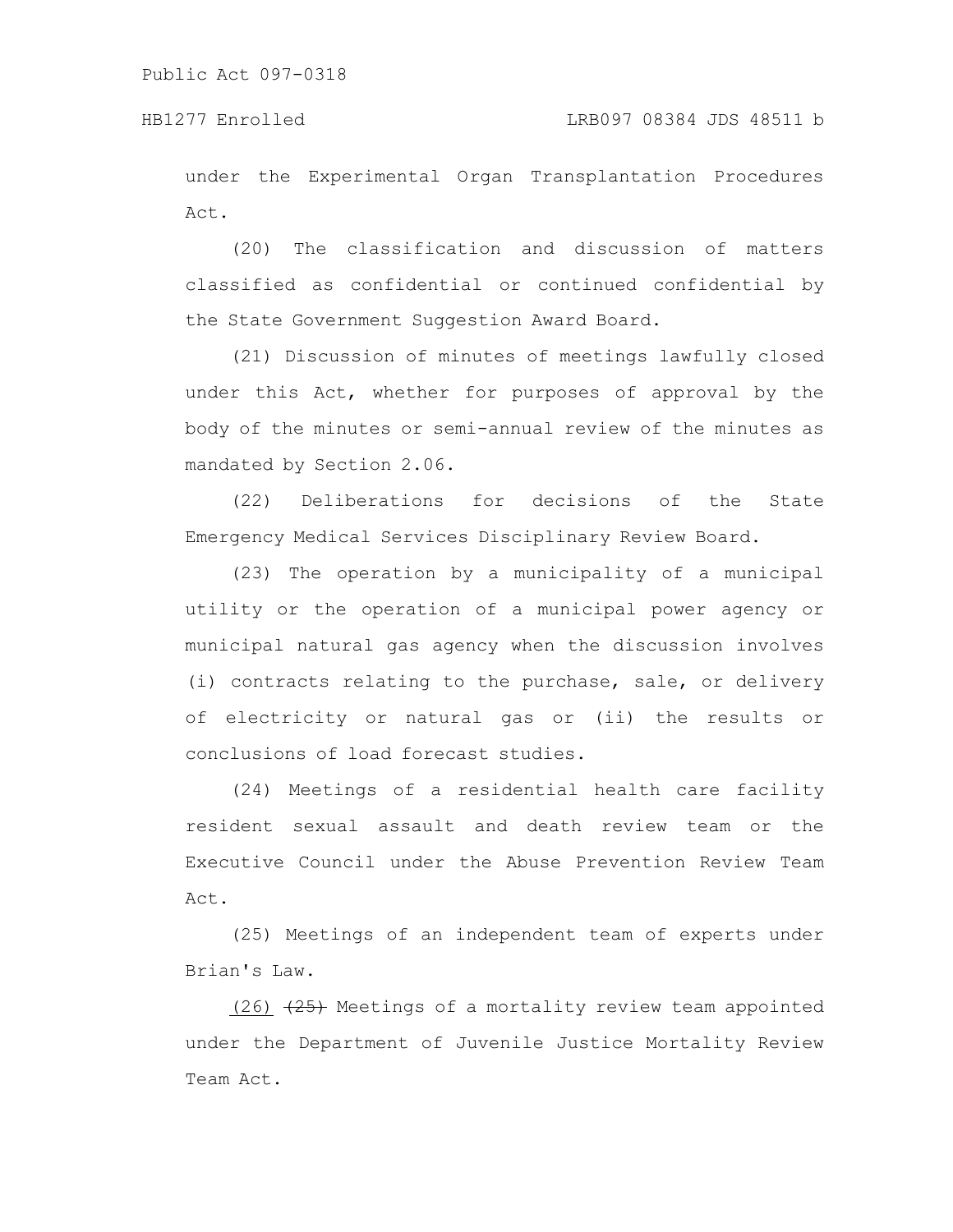under the Experimental Organ Transplantation Procedures Act.

(20) The classification and discussion of matters classified as confidential or continued confidential by the State Government Suggestion Award Board.

(21) Discussion of minutes of meetings lawfully closed under this Act, whether for purposes of approval by the body of the minutes or semi-annual review of the minutes as mandated by Section 2.06.

(22) Deliberations for decisions of the State Emergency Medical Services Disciplinary Review Board.

(23) The operation by a municipality of a municipal utility or the operation of a municipal power agency or municipal natural gas agency when the discussion involves (i) contracts relating to the purchase, sale, or delivery of electricity or natural gas or (ii) the results or conclusions of load forecast studies.

(24) Meetings of a residential health care facility resident sexual assault and death review team or the Executive Council under the Abuse Prevention Review Team Act.

(25) Meetings of an independent team of experts under Brian's Law.

 $(26)$   $\overline{+25}$  Meetings of a mortality review team appointed under the Department of Juvenile Justice Mortality Review Team Act.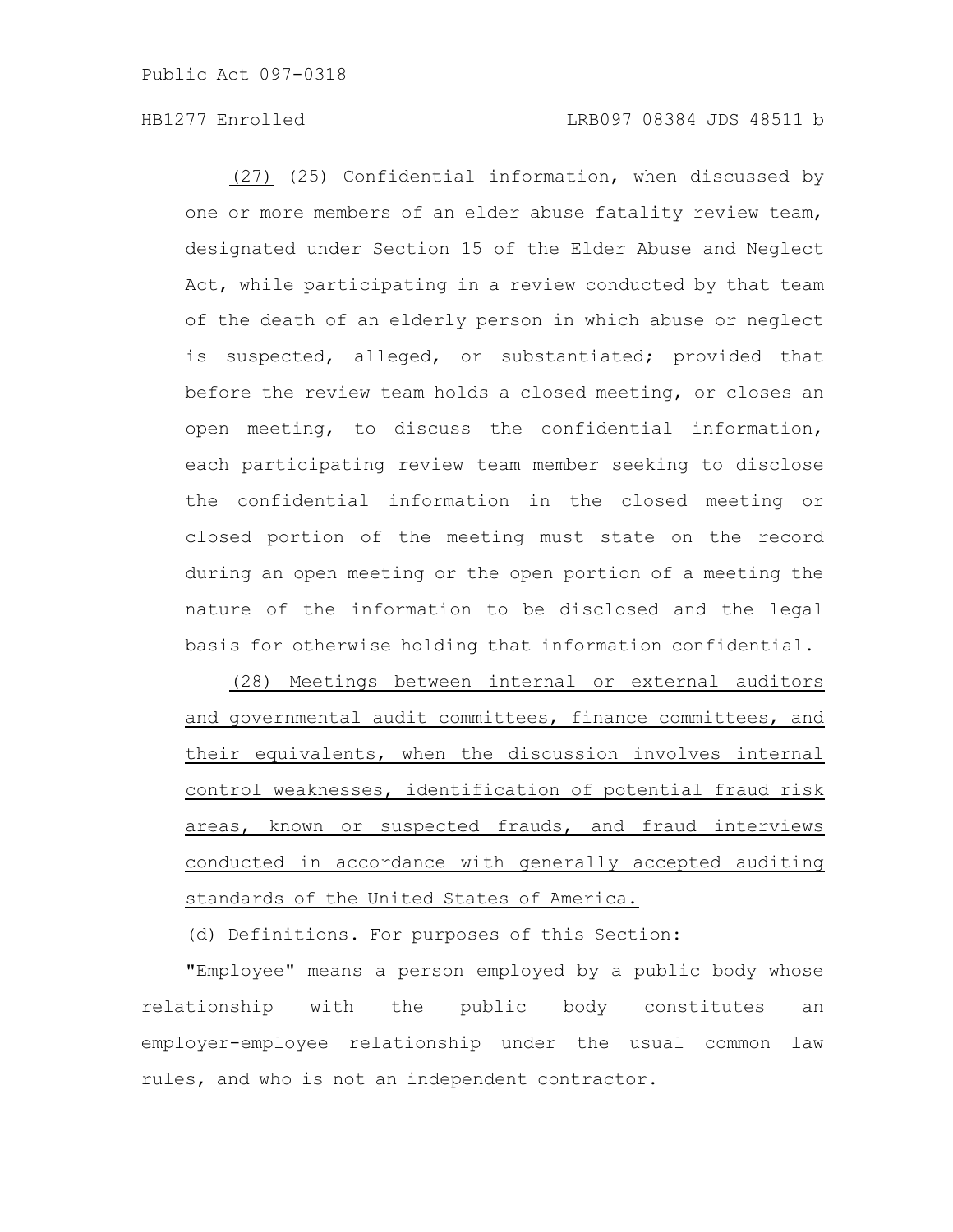# HB1277 Enrolled LRB097 08384 JDS 48511 b

 $(27)$   $(25)$  Confidential information, when discussed by one or more members of an elder abuse fatality review team, designated under Section 15 of the Elder Abuse and Neglect Act, while participating in a review conducted by that team of the death of an elderly person in which abuse or neglect is suspected, alleged, or substantiated; provided that before the review team holds a closed meeting, or closes an open meeting, to discuss the confidential information, each participating review team member seeking to disclose the confidential information in the closed meeting or closed portion of the meeting must state on the record during an open meeting or the open portion of a meeting the nature of the information to be disclosed and the legal basis for otherwise holding that information confidential.

(28) Meetings between internal or external auditors and governmental audit committees, finance committees, and their equivalents, when the discussion involves internal control weaknesses, identification of potential fraud risk areas, known or suspected frauds, and fraud interviews conducted in accordance with generally accepted auditing standards of the United States of America.

(d) Definitions. For purposes of this Section:

"Employee" means a person employed by a public body whose relationship with the public body constitutes an employer-employee relationship under the usual common law rules, and who is not an independent contractor.